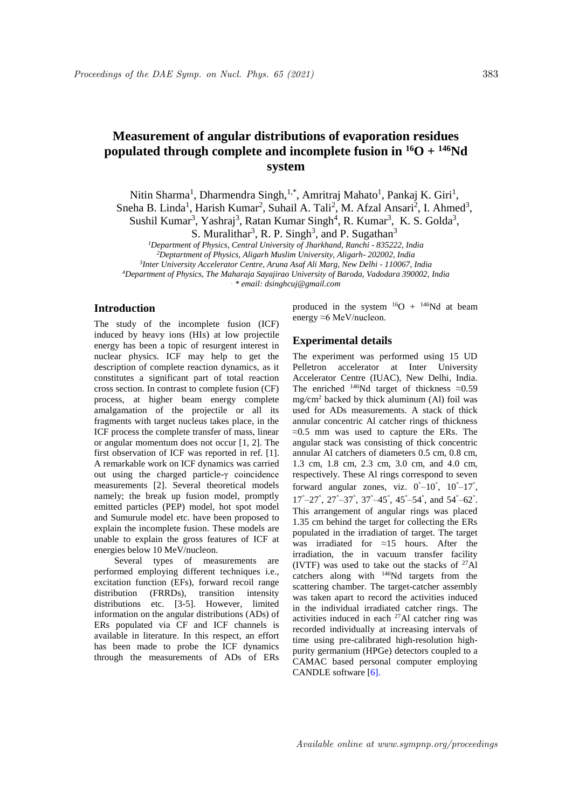# **Measurement of angular distributions of evaporation residues populated through complete and incomplete fusion in <sup>16</sup>O + <sup>146</sup>Nd system**

Nitin Sharma<sup>1</sup>, Dharmendra Singh,<sup>1,\*</sup>, Amritraj Mahato<sup>1</sup>, Pankaj K. Giri<sup>1</sup>,

Sneha B. Linda<sup>1</sup>, Harish Kumar<sup>2</sup>, Suhail A. Tali<sup>2</sup>, M. Afzal Ansari<sup>2</sup>, I. Ahmed<sup>3</sup>,

Sushil Kumar<sup>3</sup>, Yashraj<sup>3</sup>, Ratan Kumar Singh<sup>4</sup>, R. Kumar<sup>3</sup>, K. S. Golda<sup>3</sup>,

S. Muralithar<sup>3</sup>, R. P. Singh<sup>3</sup>, and P. Sugathan<sup>3</sup>

*<sup>1</sup>Department of Physics, Central University of Jharkhand, Ranchi - 835222, India*

*<sup>2</sup>Deptartment of Physics, Aligarh Muslim University, Aligarh- 202002, India*

*3 Inter University Accelerator Centre, Aruna Asaf Ali Marg, New Delhi - 110067, India* 

*<sup>4</sup>Department of Physics, The Maharaja Sayajirao University of Baroda, Vadodara 390002, India*

*. \* email: dsinghcuj@gmail.com*

## **Introduction**

The study of the incomplete fusion (ICF) induced by heavy ions (HIs) at low projectile energy has been a topic of resurgent interest in nuclear physics. ICF may help to get the description of complete reaction dynamics, as it constitutes a significant part of total reaction cross section. In contrast to complete fusion (CF) process, at higher beam energy complete amalgamation of the projectile or all its fragments with target nucleus takes place, in the ICF process the complete transfer of mass, linear or angular momentum does not occur [1, 2]. The first observation of ICF was reported in ref. [1]. A remarkable work on ICF dynamics was carried out using the charged particle-γ coincidence measurements [2]. Several theoretical models namely; the break up fusion model, promptly emitted particles (PEP) model, hot spot model and Sumurule model etc. have been proposed to explain the incomplete fusion. These models are unable to explain the gross features of ICF at energies below 10 MeV/nucleon.

Several types of measurements are performed employing different techniques i.e., excitation function (EFs), forward recoil range distribution (FRRDs), transition intensity distributions etc. [3-5]. However, limited information on the angular distributions (ADs) of ERs populated via CF and ICF channels is available in literature. In this respect, an effort has been made to probe the ICF dynamics through the measurements of ADs of ERs

produced in the system  $^{16}O + ^{146}Nd$  at beam energy ≈6 MeV/nucleon.

## **Experimental details**

The experiment was performed using 15 UD Pelletron accelerator at Inter University Accelerator Centre (IUAC), New Delhi, India. The enriched <sup>146</sup>Nd target of thickness ≈0*.*59 mg*/*cm<sup>2</sup> backed by thick aluminum (Al) foil was used for ADs measurements. A stack of thick annular concentric Al catcher rings of thickness ≈0*.*5 mm was used to capture the ERs. The angular stack was consisting of thick concentric annular Al catchers of diameters 0.5 cm, 0.8 cm, 1.3 cm, 1.8 cm, 2.3 cm, 3.0 cm, and 4.0 cm, respectively. These Al rings correspond to seven forward angular zones, viz.  $0^\circ - 10^\circ$ ,  $10^\circ - 17^\circ$ ,  $17^\circ - 27^\circ$ ,  $27^\circ - 37^\circ$ ,  $37^\circ - 45^\circ$ ,  $45^\circ - 54^\circ$ , and  $54^\circ - 62^\circ$ . This arrangement of angular rings was placed 1.35 cm behind the target for collecting the ERs populated in the irradiation of target. The target was irradiated for ≈15 hours. After the irradiation, the in vacuum transfer facility (IVTF) was used to take out the stacks of  $27$ Al catchers along with <sup>146</sup>Nd targets from the scattering chamber. The target-catcher assembly was taken apart to record the activities induced in the individual irradiated catcher rings. The activities induced in each <sup>27</sup>Al catcher ring was recorded individually at increasing intervals of time using pre-calibrated high-resolution highpurity germanium (HPGe) detectors coupled to a CAMAC based personal computer employing CANDLE software [6].